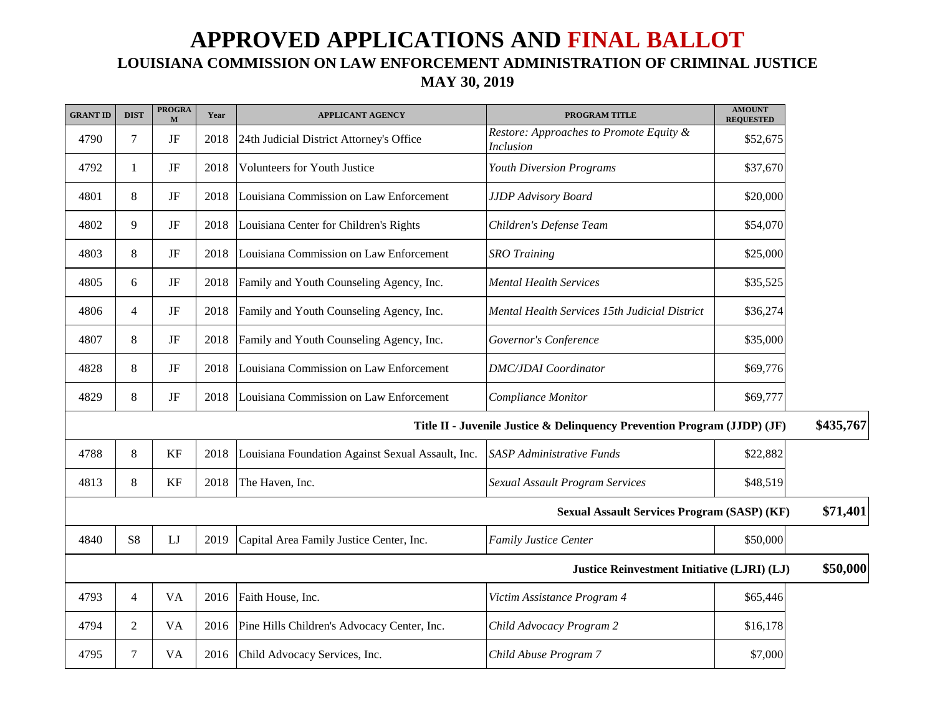## **APPROVED APPLICATIONS AND FINAL BALLOT LOUISIANA COMMISSION ON LAW ENFORCEMENT ADMINISTRATION OF CRIMINAL JUSTICE MAY 30, 2019**

| <b>GRANT ID</b> | <b>DIST</b>    | <b>PROGRA</b><br>M | Year | <b>APPLICANT AGENCY</b>                           | <b>PROGRAM TITLE</b>                                                     | <b>AMOUNT</b><br><b>REQUESTED</b> |           |
|-----------------|----------------|--------------------|------|---------------------------------------------------|--------------------------------------------------------------------------|-----------------------------------|-----------|
| 4790            | $\overline{7}$ | $\rm{JF}$          | 2018 | 24th Judicial District Attorney's Office          | Restore: Approaches to Promote Equity &<br><b>Inclusion</b>              | \$52,675                          |           |
| 4792            | -1             | JF                 | 2018 | Volunteers for Youth Justice                      | <b>Youth Diversion Programs</b>                                          | \$37,670                          |           |
| 4801            | 8              | JF                 | 2018 | Louisiana Commission on Law Enforcement           | <b>JJDP</b> Advisory Board                                               | \$20,000                          |           |
| 4802            | 9              | JF                 | 2018 | Louisiana Center for Children's Rights            | Children's Defense Team                                                  | \$54,070                          |           |
| 4803            | 8              | JF                 | 2018 | Louisiana Commission on Law Enforcement           | <b>SRO</b> Training                                                      | \$25,000                          |           |
| 4805            | 6              | JF                 | 2018 | Family and Youth Counseling Agency, Inc.          | <b>Mental Health Services</b>                                            | \$35,525                          |           |
| 4806            | $\overline{4}$ | JF                 | 2018 | Family and Youth Counseling Agency, Inc.          | Mental Health Services 15th Judicial District                            | \$36,274                          |           |
| 4807            | 8              | JF                 | 2018 | Family and Youth Counseling Agency, Inc.          | Governor's Conference                                                    | \$35,000                          |           |
| 4828            | 8              | JF                 | 2018 | Louisiana Commission on Law Enforcement           | <b>DMC/JDAI</b> Coordinator                                              | \$69,776                          |           |
| 4829            | 8              | JF                 | 2018 | Louisiana Commission on Law Enforcement           | Compliance Monitor                                                       | \$69,777                          |           |
|                 |                |                    |      |                                                   | Title II - Juvenile Justice & Delinquency Prevention Program (JJDP) (JF) |                                   | \$435,767 |
| 4788            | $\,8\,$        | KF                 | 2018 | Louisiana Foundation Against Sexual Assault, Inc. | <b>SASP</b> Administrative Funds                                         | \$22,882                          |           |
| 4813            | 8              | KF                 | 2018 | The Haven, Inc.                                   | <b>Sexual Assault Program Services</b>                                   | \$48,519                          |           |
|                 |                |                    |      |                                                   | <b>Sexual Assault Services Program (SASP) (KF)</b>                       |                                   | \$71,401  |
| 4840            | S <sub>8</sub> | LJ                 | 2019 | Capital Area Family Justice Center, Inc.          | <b>Family Justice Center</b>                                             | \$50,000                          |           |
|                 |                |                    |      |                                                   | Justice Reinvestment Initiative (LJRI) (LJ)                              |                                   | \$50,000  |
| 4793            | $\overline{4}$ | VA                 | 2016 | Faith House, Inc.                                 | Victim Assistance Program 4                                              | \$65,446                          |           |
| 4794            | 2              | VA                 | 2016 | Pine Hills Children's Advocacy Center, Inc.       | Child Advocacy Program 2                                                 | \$16,178                          |           |
| 4795            | $\tau$         | VA                 | 2016 | Child Advocacy Services, Inc.                     | Child Abuse Program 7                                                    | \$7,000                           |           |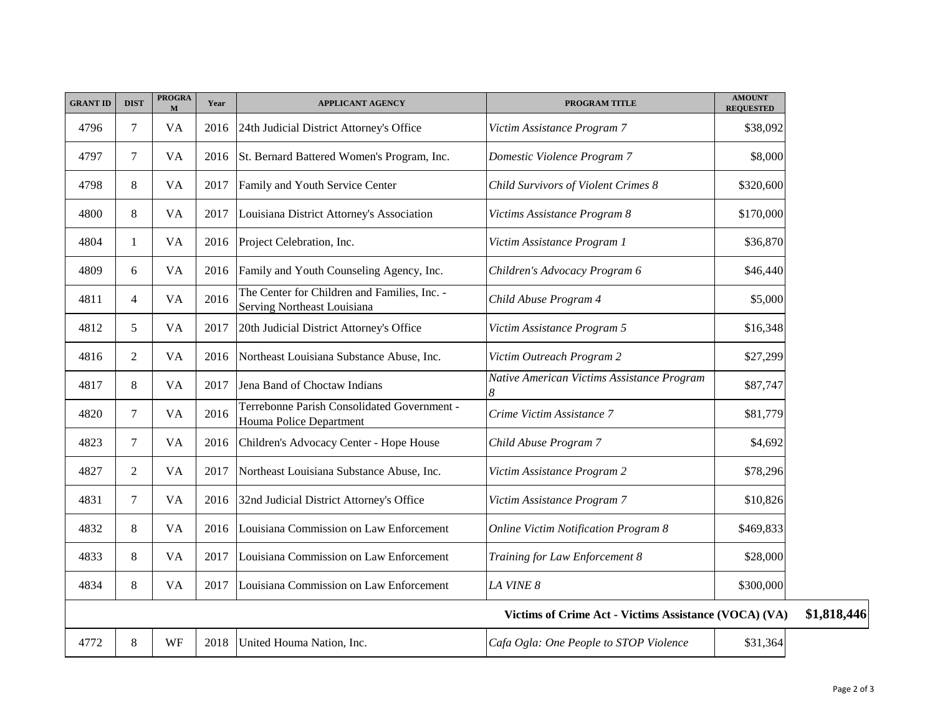| <b>GRANT ID</b> | <b>DIST</b>    | <b>PROGRA</b><br>$\mathbf{M}$ | Year | <b>APPLICANT AGENCY</b>                                                     | PROGRAM TITLE                                         | <b>AMOUNT</b><br><b>REQUESTED</b> |
|-----------------|----------------|-------------------------------|------|-----------------------------------------------------------------------------|-------------------------------------------------------|-----------------------------------|
| 4796            | 7              | <b>VA</b>                     | 2016 | 24th Judicial District Attorney's Office                                    | Victim Assistance Program 7                           | \$38,092                          |
| 4797            | 7              | <b>VA</b>                     | 2016 | St. Bernard Battered Women's Program, Inc.                                  | Domestic Violence Program 7                           | \$8,000                           |
| 4798            | 8              | <b>VA</b>                     | 2017 | Family and Youth Service Center                                             | Child Survivors of Violent Crimes 8                   | \$320,600                         |
| 4800            | 8              | <b>VA</b>                     | 2017 | Louisiana District Attorney's Association                                   | Victims Assistance Program 8                          | \$170,000                         |
| 4804            | 1              | <b>VA</b>                     | 2016 | Project Celebration, Inc.                                                   | Victim Assistance Program 1                           | \$36,870                          |
| 4809            | 6              | <b>VA</b>                     | 2016 | Family and Youth Counseling Agency, Inc.                                    | Children's Advocacy Program 6                         | \$46,440                          |
| 4811            | $\overline{4}$ | <b>VA</b>                     | 2016 | The Center for Children and Families, Inc. -<br>Serving Northeast Louisiana | Child Abuse Program 4                                 | \$5,000                           |
| 4812            | 5              | <b>VA</b>                     | 2017 | 20th Judicial District Attorney's Office                                    | Victim Assistance Program 5                           | \$16,348                          |
| 4816            | $\overline{2}$ | <b>VA</b>                     | 2016 | Northeast Louisiana Substance Abuse, Inc.                                   | Victim Outreach Program 2                             | \$27,299                          |
| 4817            | 8              | <b>VA</b>                     | 2017 | Jena Band of Choctaw Indians                                                | Native American Victims Assistance Program<br>8       | \$87,747                          |
| 4820            | $\overline{7}$ | <b>VA</b>                     | 2016 | Terrebonne Parish Consolidated Government -<br>Houma Police Department      | Crime Victim Assistance 7                             | \$81,779                          |
| 4823            | $\tau$         | <b>VA</b>                     | 2016 | Children's Advocacy Center - Hope House                                     | Child Abuse Program 7                                 | \$4,692                           |
| 4827            | $\overline{2}$ | <b>VA</b>                     | 2017 | Northeast Louisiana Substance Abuse, Inc.                                   | Victim Assistance Program 2                           | \$78,296                          |
| 4831            | 7              | <b>VA</b>                     | 2016 | 32nd Judicial District Attorney's Office                                    | Victim Assistance Program 7                           | \$10,826                          |
| 4832            | 8              | <b>VA</b>                     | 2016 | Louisiana Commission on Law Enforcement                                     | <b>Online Victim Notification Program 8</b>           | \$469,833                         |
| 4833            | $8\,$          | <b>VA</b>                     | 2017 | Louisiana Commission on Law Enforcement                                     | Training for Law Enforcement 8                        | \$28,000                          |
| 4834            | 8              | <b>VA</b>                     | 2017 | Louisiana Commission on Law Enforcement                                     | LA VINE 8                                             | \$300,000                         |
|                 |                |                               |      |                                                                             | Victims of Crime Act - Victims Assistance (VOCA) (VA) |                                   |
| 4772            | $8\,$          | <b>WF</b>                     |      | 2018 United Houma Nation, Inc.                                              | Cafa Ogla: One People to STOP Violence                | \$31,364                          |